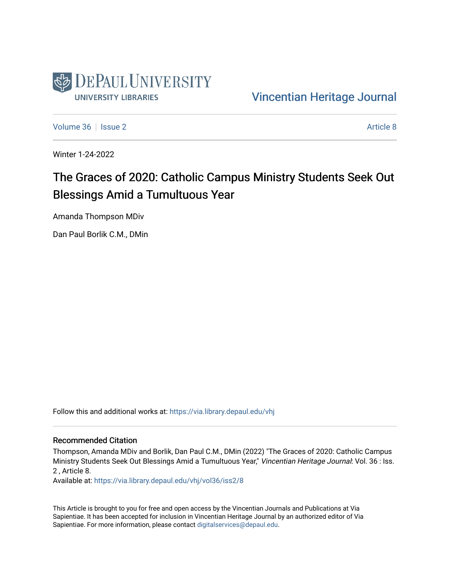

#### [Vincentian Heritage Journal](https://via.library.depaul.edu/vhj)

[Volume 36](https://via.library.depaul.edu/vhj/vol36) | [Issue 2](https://via.library.depaul.edu/vhj/vol36/iss2) [Article 8](https://via.library.depaul.edu/vhj/vol36/iss2/8) Article 8

Winter 1-24-2022

## The Graces of 2020: Catholic Campus Ministry Students Seek Out Blessings Amid a Tumultuous Year

Amanda Thompson MDiv

Dan Paul Borlik C.M., DMin

Follow this and additional works at: [https://via.library.depaul.edu/vhj](https://via.library.depaul.edu/vhj?utm_source=via.library.depaul.edu%2Fvhj%2Fvol36%2Fiss2%2F8&utm_medium=PDF&utm_campaign=PDFCoverPages) 

#### Recommended Citation

Thompson, Amanda MDiv and Borlik, Dan Paul C.M., DMin (2022) "The Graces of 2020: Catholic Campus Ministry Students Seek Out Blessings Amid a Tumultuous Year," Vincentian Heritage Journal: Vol. 36 : Iss. 2 , Article 8.

Available at: [https://via.library.depaul.edu/vhj/vol36/iss2/8](https://via.library.depaul.edu/vhj/vol36/iss2/8?utm_source=via.library.depaul.edu%2Fvhj%2Fvol36%2Fiss2%2F8&utm_medium=PDF&utm_campaign=PDFCoverPages) 

This Article is brought to you for free and open access by the Vincentian Journals and Publications at Via Sapientiae. It has been accepted for inclusion in Vincentian Heritage Journal by an authorized editor of Via Sapientiae. For more information, please contact [digitalservices@depaul.edu](mailto:digitalservices@depaul.edu).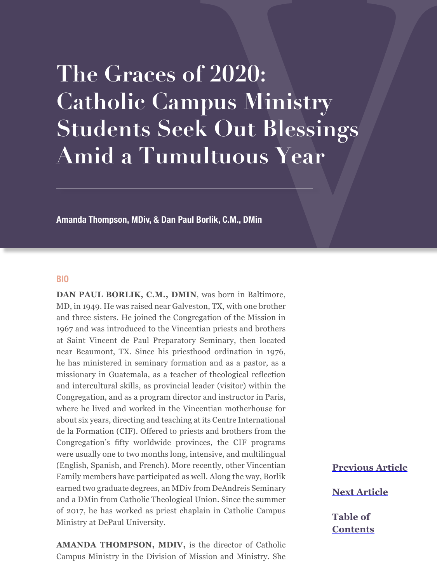# **The Graces of 2020: Catholic Campus Ministry Students Seek Out Blessings Amid a Tumultuous Year**

**Amanda Thompson, MDiv, & Dan Paul Borlik, C.M., DMin**

#### **BIO**

**DAN PAUL BORLIK, C.M., DMIN**, was born in Baltimore, MD, in 1949. He was raised near Galveston, TX, with one brother and three sisters. He joined the Congregation of the Mission in 1967 and was introduced to the Vincentian priests and brothers at Saint Vincent de Paul Preparatory Seminary, then located near Beaumont, TX. Since his priesthood ordination in 1976, he has ministered in seminary formation and as a pastor, as a missionary in Guatemala, as a teacher of theological reflection and intercultural skills, as provincial leader (visitor) within the Congregation, and as a program director and instructor in Paris, where he lived and worked in the Vincentian motherhouse for about six years, directing and teaching at its Centre International de la Formation (CIF). Offered to priests and brothers from the Congregation's fifty worldwide provinces, the CIF programs were usually one to two months long, intensive, and multilingual (English, Spanish, and French). More recently, other Vincentian Family members have participated as well. Along the way, Borlik earned two graduate degrees, an MDiv from DeAndreis Seminary and a DMin from Catholic Theological Union. Since the summer of 2017, he has worked as priest chaplain in Catholic Campus Ministry at DePaul University.

**AMANDA THOMPSON, MDIV,** is the director of Catholic Campus Ministry in the Division of Mission and Ministry. She

**[Previous Article](#page--1-0)**

**[Next Article](#page--1-0)**

**[Table of](#page--1-0)  [Contents](#page--1-0)**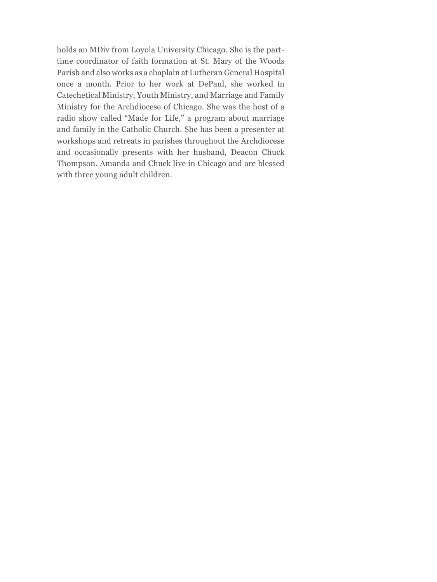holds an MDiv from Loyola University Chicago. She is the parttime coordinator of faith formation at St. Mary of the Woods Parish and also works as a chaplain at Lutheran General Hospital once a month. Prior to her work at DePaul, she worked in Catechetical Ministry, Youth Ministry, and Marriage and Family Ministry for the Archdiocese of Chicago. She was the host of a radio show called "Made for Life," a program about marriage and family in the Catholic Church. She has been a presenter at workshops and retreats in parishes throughout the Archdiocese and occasionally presents with her husband, Deacon Chuck Thompson. Amanda and Chuck live in Chicago and are blessed with three young adult children.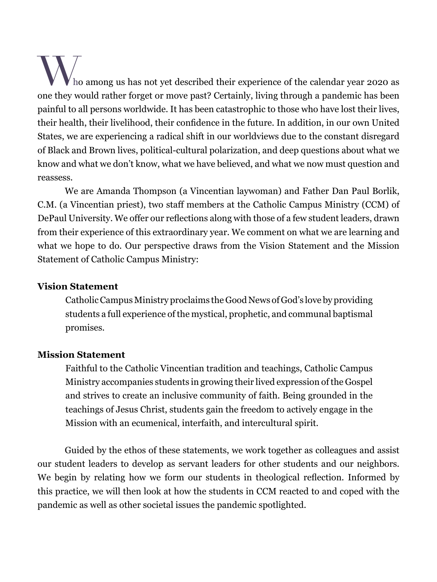$\mu$  ho among us has not yet described their experience of the calendar year 2020 as one they would rather forget or move past? Certainly, living through a pandemic has been painful to all persons worldwide. It has been catastrophic to those who have lost their lives, their health, their livelihood, their confidence in the future. In addition, in our own United States, we are experiencing a radical shift in our worldviews due to the constant disregard of Black and Brown lives, political-cultural polarization, and deep questions about what we know and what we don't know, what we have believed, and what we now must question and reassess.

We are Amanda Thompson (a Vincentian laywoman) and Father Dan Paul Borlik, C.M. (a Vincentian priest), two staff members at the Catholic Campus Ministry (CCM) of DePaul University. We offer our reflections along with those of a few student leaders, drawn from their experience of this extraordinary year. We comment on what we are learning and what we hope to do. Our perspective draws from the Vision Statement and the Mission Statement of Catholic Campus Ministry:

#### **Vision Statement**

Catholic Campus Ministry proclaims the Good News of God's love by providing students a full experience of the mystical, prophetic, and communal baptismal promises.

### **Mission Statement**

Faithful to the Catholic Vincentian tradition and teachings, Catholic Campus Ministry accompanies students in growing their lived expression of the Gospel and strives to create an inclusive community of faith. Being grounded in the teachings of Jesus Christ, students gain the freedom to actively engage in the Mission with an ecumenical, interfaith, and intercultural spirit.

Guided by the ethos of these statements, we work together as colleagues and assist our student leaders to develop as servant leaders for other students and our neighbors. We begin by relating how we form our students in theological reflection. Informed by this practice, we will then look at how the students in CCM reacted to and coped with the pandemic as well as other societal issues the pandemic spotlighted.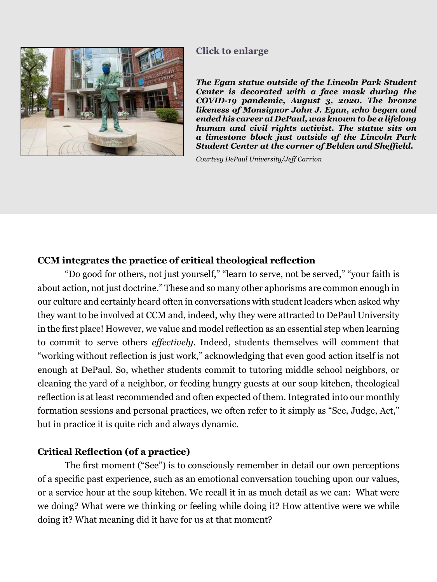#### **[Click to enlarge](#page-11-0)**

<span id="page-4-0"></span>

*The Egan statue outside of the Lincoln Park Student Center is decorated with a face mask during the COVID-19 pandemic, August 3, 2020. The bronze likeness of Monsignor John J. Egan, who began and ended his career at DePaul, was known to be a lifelong human and civil rights activist. The statue sits on a limestone block just outside of the Lincoln Park Student Center at the corner of Belden and Sheffield.* 

*Courtesy DePaul University/Jeff Carrion*

#### **CCM integrates the practice of critical theological reflection**

"Do good for others, not just yourself," "learn to serve, not be served," "your faith is about action, not just doctrine." These and so many other aphorisms are common enough in our culture and certainly heard often in conversations with student leaders when asked why they want to be involved at CCM and, indeed, why they were attracted to DePaul University in the first place! However, we value and model reflection as an essential step when learning to commit to serve others *effectively.* Indeed, students themselves will comment that "working without reflection is just work," acknowledging that even good action itself is not enough at DePaul. So, whether students commit to tutoring middle school neighbors, or cleaning the yard of a neighbor, or feeding hungry guests at our soup kitchen, theological reflection is at least recommended and often expected of them. Integrated into our monthly formation sessions and personal practices, we often refer to it simply as "See, Judge, Act," but in practice it is quite rich and always dynamic.

#### **Critical Reflection (of a practice)**

The first moment ("See") is to consciously remember in detail our own perceptions of a specific past experience, such as an emotional conversation touching upon our values, or a service hour at the soup kitchen. We recall it in as much detail as we can: What were we doing? What were we thinking or feeling while doing it? How attentive were we while doing it? What meaning did it have for us at that moment?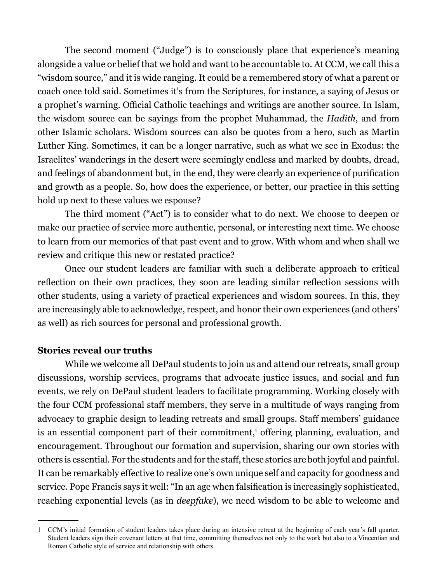The second moment ("Judge") is to consciously place that experience's meaning alongside a value or belief that we hold and want to be accountable to. At CCM, we call this a "wisdom source," and it is wide ranging. It could be a remembered story of what a parent or coach once told said. Sometimes it's from the Scriptures, for instance, a saying of Jesus or a prophet's warning. Official Catholic teachings and writings are another source. In Islam, the wisdom source can be sayings from the prophet Muhammad, the *Hadith*, and from other Islamic scholars. Wisdom sources can also be quotes from a hero, such as Martin Luther King. Sometimes, it can be a longer narrative, such as what we see in Exodus: the Israelites' wanderings in the desert were seemingly endless and marked by doubts, dread, and feelings of abandonment but, in the end, they were clearly an experience of purification and growth as a people. So, how does the experience, or better, our practice in this setting hold up next to these values we espouse?

The third moment ("Act") is to consider what to do next. We choose to deepen or make our practice of service more authentic, personal, or interesting next time. We choose to learn from our memories of that past event and to grow. With whom and when shall we review and critique this new or restated practice?

Once our student leaders are familiar with such a deliberate approach to critical reflection on their own practices, they soon are leading similar reflection sessions with other students, using a variety of practical experiences and wisdom sources. In this, they are increasingly able to acknowledge, respect, and honor their own experiences (and others' as well) as rich sources for personal and professional growth.

#### **Stories reveal our truths**

While we welcome all DePaul students to join us and attend our retreats, small group discussions, worship services, programs that advocate justice issues, and social and fun events, we rely on DePaul student leaders to facilitate programming. Working closely with the four CCM professional staff members, they serve in a multitude of ways ranging from advocacy to graphic design to leading retreats and small groups. Staff members' guidance is an essential component part of their commitment,<sup>1</sup> offering planning, evaluation, and encouragement. Throughout our formation and supervision, sharing our own stories with others is essential. For the students and for the staff, these stories are both joyful and painful. It can be remarkably effective to realize one's own unique self and capacity for goodness and service. Pope Francis says it well: "In an age when falsification is increasingly sophisticated, reaching exponential levels (as in *deepfake*), we need wisdom to be able to welcome and

<sup>1</sup> CCM's initial formation of student leaders takes place during an intensive retreat at the beginning of each year's fall quarter. Student leaders sign their covenant letters at that time, committing themselves not only to the work but also to a Vincentian and Roman Catholic style of service and relationship with others.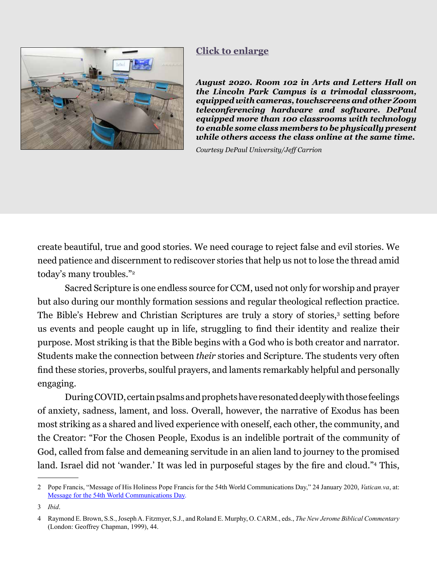<span id="page-6-0"></span>

### **[Click to enlarge](#page-12-0)**

*August 2020. Room 102 in Arts and Letters Hall on the Lincoln Park Campus is a trimodal classroom, equipped with cameras, touchscreens and other Zoom teleconferencing hardware and software. DePaul equipped more than 100 classrooms with technology to enable some class members to be physically present while others access the class online at the same time.* 

*Courtesy DePaul University/Jeff Carrion*

create beautiful, true and good stories. We need courage to reject false and evil stories. We need patience and discernment to rediscover stories that help us not to lose the thread amid today's many troubles."2

Sacred Scripture is one endless source for CCM, used not only for worship and prayer but also during our monthly formation sessions and regular theological reflection practice. The Bible's Hebrew and Christian Scriptures are truly a story of stories,<sup>3</sup> setting before us events and people caught up in life, struggling to find their identity and realize their purpose. Most striking is that the Bible begins with a God who is both creator and narrator. Students make the connection between *their* stories and Scripture. The students very often find these stories, proverbs, soulful prayers, and laments remarkably helpful and personally engaging.

During COVID, certain psalms and prophets have resonated deeply with those feelings of anxiety, sadness, lament, and loss. Overall, however, the narrative of Exodus has been most striking as a shared and lived experience with oneself, each other, the community, and the Creator: "For the Chosen People, Exodus is an indelible portrait of the community of God, called from false and demeaning servitude in an alien land to journey to the promised land. Israel did not 'wander.' It was led in purposeful stages by the fire and cloud."<sup>4</sup> This,

<sup>2</sup> Pope Francis, "Message of His Holiness Pope Francis for the 54th World Communications Day," 24 January 2020, *Vatican.va*, at: [Message for the 54th World Communications Day.](https://www.vatican.va/content/francesco/en/messages/communications/documents/papa-francesco_20200124_messaggio-comunicazioni-sociali.html)

<sup>3</sup> *Ibid*.

<sup>4</sup> Raymond E. Brown, S.S., Joseph A. Fitzmyer, S.J., and Roland E. Murphy, O. CARM., eds., *The New Jerome Biblical Commentary*  (London: Geoffrey Chapman, 1999), 44.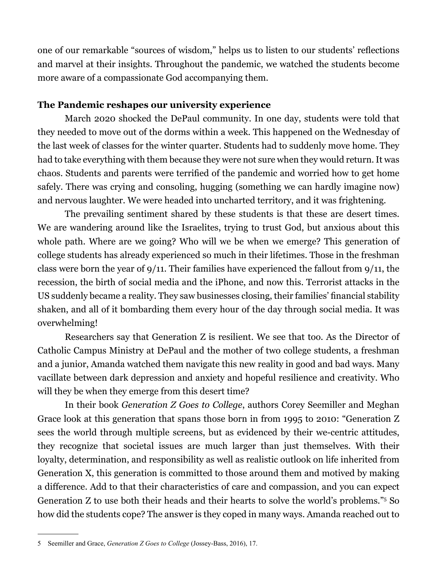one of our remarkable "sources of wisdom," helps us to listen to our students' reflections and marvel at their insights. Throughout the pandemic, we watched the students become more aware of a compassionate God accompanying them.

#### **The Pandemic reshapes our university experience**

March 2020 shocked the DePaul community. In one day, students were told that they needed to move out of the dorms within a week. This happened on the Wednesday of the last week of classes for the winter quarter. Students had to suddenly move home. They had to take everything with them because they were not sure when they would return. It was chaos. Students and parents were terrified of the pandemic and worried how to get home safely. There was crying and consoling, hugging (something we can hardly imagine now) and nervous laughter. We were headed into uncharted territory, and it was frightening.

The prevailing sentiment shared by these students is that these are desert times. We are wandering around like the Israelites, trying to trust God, but anxious about this whole path. Where are we going? Who will we be when we emerge? This generation of college students has already experienced so much in their lifetimes. Those in the freshman class were born the year of 9/11. Their families have experienced the fallout from 9/11, the recession, the birth of social media and the iPhone, and now this. Terrorist attacks in the US suddenly became a reality. They saw businesses closing, their families' financial stability shaken, and all of it bombarding them every hour of the day through social media. It was overwhelming!

Researchers say that Generation Z is resilient. We see that too. As the Director of Catholic Campus Ministry at DePaul and the mother of two college students, a freshman and a junior, Amanda watched them navigate this new reality in good and bad ways. Many vacillate between dark depression and anxiety and hopeful resilience and creativity. Who will they be when they emerge from this desert time?

In their book *Generation Z Goes to College*, authors Corey Seemiller and Meghan Grace look at this generation that spans those born in from 1995 to 2010: "Generation Z sees the world through multiple screens, but as evidenced by their we-centric attitudes, they recognize that societal issues are much larger than just themselves. With their loyalty, determination, and responsibility as well as realistic outlook on life inherited from Generation X, this generation is committed to those around them and motived by making a difference. Add to that their characteristics of care and compassion, and you can expect Generation Z to use both their heads and their hearts to solve the world's problems."5 So how did the students cope? The answer is they coped in many ways. Amanda reached out to

<sup>5</sup> Seemiller and Grace, *Generation Z Goes to College* (Jossey-Bass, 2016), 17.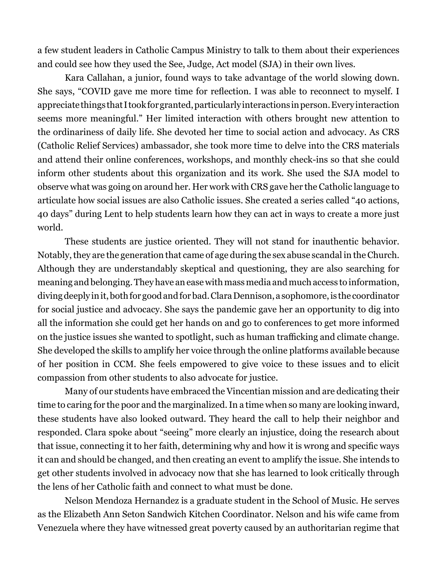a few student leaders in Catholic Campus Ministry to talk to them about their experiences and could see how they used the See, Judge, Act model (SJA) in their own lives.

Kara Callahan, a junior, found ways to take advantage of the world slowing down. She says, "COVID gave me more time for reflection. I was able to reconnect to myself. I appreciate things that I took for granted, particularly interactions in person. Every interaction seems more meaningful." Her limited interaction with others brought new attention to the ordinariness of daily life. She devoted her time to social action and advocacy. As CRS (Catholic Relief Services) ambassador, she took more time to delve into the CRS materials and attend their online conferences, workshops, and monthly check-ins so that she could inform other students about this organization and its work. She used the SJA model to observe what was going on around her. Her work with CRS gave her the Catholic language to articulate how social issues are also Catholic issues. She created a series called "40 actions, 40 days" during Lent to help students learn how they can act in ways to create a more just world.

These students are justice oriented. They will not stand for inauthentic behavior. Notably, they are the generation that came of age during the sex abuse scandal in the Church. Although they are understandably skeptical and questioning, they are also searching for meaning and belonging. They have an ease with mass media and much access to information, diving deeply in it, both for good and for bad. Clara Dennison, a sophomore, is the coordinator for social justice and advocacy. She says the pandemic gave her an opportunity to dig into all the information she could get her hands on and go to conferences to get more informed on the justice issues she wanted to spotlight, such as human trafficking and climate change. She developed the skills to amplify her voice through the online platforms available because of her position in CCM. She feels empowered to give voice to these issues and to elicit compassion from other students to also advocate for justice.

Many of our students have embraced the Vincentian mission and are dedicating their time to caring for the poor and the marginalized. In a time when so many are looking inward, these students have also looked outward. They heard the call to help their neighbor and responded. Clara spoke about "seeing" more clearly an injustice, doing the research about that issue, connecting it to her faith, determining why and how it is wrong and specific ways it can and should be changed, and then creating an event to amplify the issue. She intends to get other students involved in advocacy now that she has learned to look critically through the lens of her Catholic faith and connect to what must be done.

Nelson Mendoza Hernandez is a graduate student in the School of Music. He serves as the Elizabeth Ann Seton Sandwich Kitchen Coordinator. Nelson and his wife came from Venezuela where they have witnessed great poverty caused by an authoritarian regime that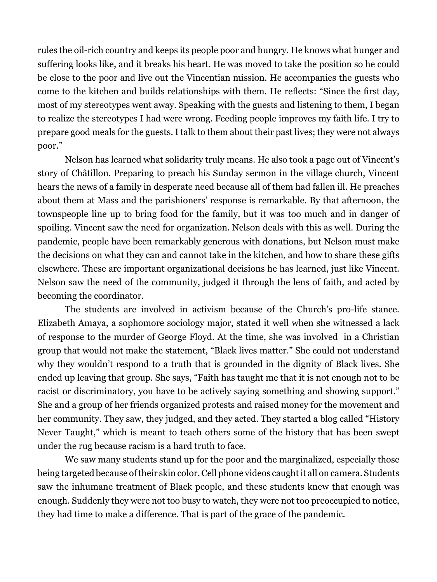rules the oil-rich country and keeps its people poor and hungry. He knows what hunger and suffering looks like, and it breaks his heart. He was moved to take the position so he could be close to the poor and live out the Vincentian mission. He accompanies the guests who come to the kitchen and builds relationships with them. He reflects: "Since the first day, most of my stereotypes went away. Speaking with the guests and listening to them, I began to realize the stereotypes I had were wrong. Feeding people improves my faith life. I try to prepare good meals for the guests. I talk to them about their past lives; they were not always poor."

Nelson has learned what solidarity truly means. He also took a page out of Vincent's story of Châtillon. Preparing to preach his Sunday sermon in the village church, Vincent hears the news of a family in desperate need because all of them had fallen ill. He preaches about them at Mass and the parishioners' response is remarkable. By that afternoon, the townspeople line up to bring food for the family, but it was too much and in danger of spoiling. Vincent saw the need for organization. Nelson deals with this as well. During the pandemic, people have been remarkably generous with donations, but Nelson must make the decisions on what they can and cannot take in the kitchen, and how to share these gifts elsewhere. These are important organizational decisions he has learned, just like Vincent. Nelson saw the need of the community, judged it through the lens of faith, and acted by becoming the coordinator.

The students are involved in activism because of the Church's pro-life stance. Elizabeth Amaya, a sophomore sociology major, stated it well when she witnessed a lack of response to the murder of George Floyd. At the time, she was involved in a Christian group that would not make the statement, "Black lives matter." She could not understand why they wouldn't respond to a truth that is grounded in the dignity of Black lives. She ended up leaving that group. She says, "Faith has taught me that it is not enough not to be racist or discriminatory, you have to be actively saying something and showing support." She and a group of her friends organized protests and raised money for the movement and her community. They saw, they judged, and they acted. They started a blog called "History Never Taught," which is meant to teach others some of the history that has been swept under the rug because racism is a hard truth to face.

We saw many students stand up for the poor and the marginalized, especially those being targeted because of their skin color. Cell phone videos caught it all on camera. Students saw the inhumane treatment of Black people, and these students knew that enough was enough. Suddenly they were not too busy to watch, they were not too preoccupied to notice, they had time to make a difference. That is part of the grace of the pandemic.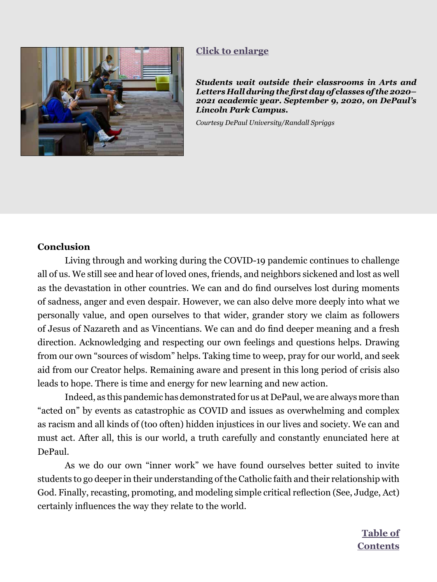<span id="page-10-0"></span>

#### **[Click to enlarge](#page-13-0)**

*Students wait outside their classrooms in Arts and Letters Hall during the first day of classes of the 2020– 2021 academic year. September 9, 2020, on DePaul's Lincoln Park Campus.* 

*Courtesy DePaul University/Randall Spriggs*

#### **Conclusion**

Living through and working during the COVID-19 pandemic continues to challenge all of us. We still see and hear of loved ones, friends, and neighbors sickened and lost as well as the devastation in other countries. We can and do find ourselves lost during moments of sadness, anger and even despair. However, we can also delve more deeply into what we personally value, and open ourselves to that wider, grander story we claim as followers of Jesus of Nazareth and as Vincentians. We can and do find deeper meaning and a fresh direction. Acknowledging and respecting our own feelings and questions helps. Drawing from our own "sources of wisdom" helps. Taking time to weep, pray for our world, and seek aid from our Creator helps. Remaining aware and present in this long period of crisis also leads to hope. There is time and energy for new learning and new action.

Indeed, as this pandemic has demonstrated for us at DePaul, we are always more than "acted on" by events as catastrophic as COVID and issues as overwhelming and complex as racism and all kinds of (too often) hidden injustices in our lives and society. We can and must act. After all, this is our world, a truth carefully and constantly enunciated here at DePaul.

As we do our own "inner work" we have found ourselves better suited to invite students to go deeper in their understanding of the Catholic faith and their relationship with God. Finally, recasting, promoting, and modeling simple critical reflection (See, Judge, Act) certainly influences the way they relate to the world.

> **Table of [Contents](#page--1-0)**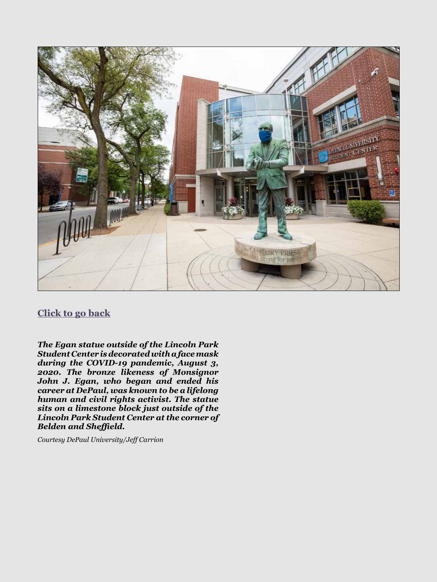<span id="page-11-0"></span>

### **[Click to go back](#page-4-0)**

*The Egan statue outside of the Lincoln Park Student Center is decorated with a face mask during the COVID-19 pandemic, August 3, 2020. The bronze likeness of Monsignor John J. Egan, who began and ended his career at DePaul, was known to be a lifelong human and civil rights activist. The statue sits on a limestone block just outside of the Lincoln Park Student Center at the corner of Belden and Sheffield.* 

*Courtesy DePaul University/Jeff Carrion*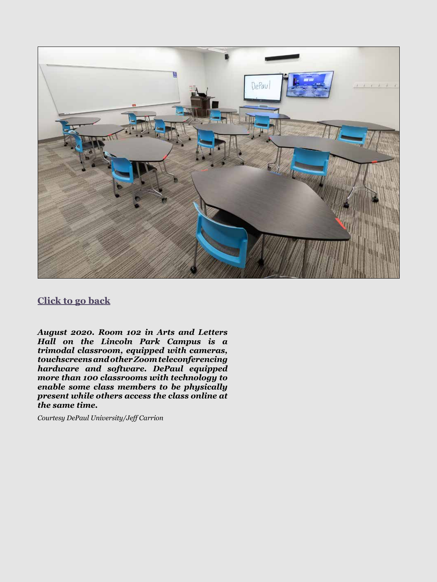<span id="page-12-0"></span>

#### **[Click to go back](#page-6-0)**

*August 2020. Room 102 in Arts and Letters Hall on the Lincoln Park Campus is a trimodal classroom, equipped with cameras, touchscreens and other Zoom teleconferencing hardware and software. DePaul equipped more than 100 classrooms with technology to enable some class members to be physically present while others access the class online at the same time.* 

*Courtesy DePaul University/Jeff Carrion*